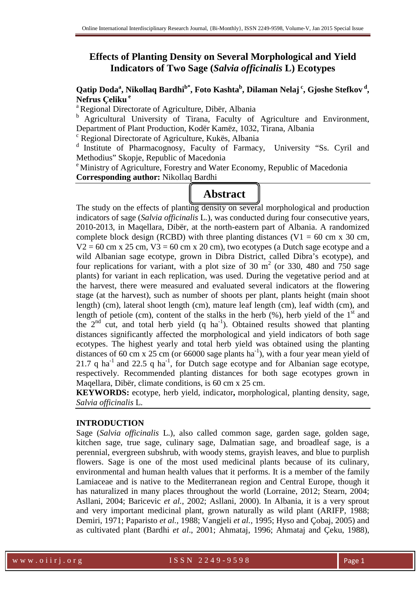## **Effects of Planting Density on Several Morphological and Yield Indicators of Two Sage (***Salvia officinalis* **L) Ecotypes**

## **Qatip Doda<sup>a</sup> , Nikollaq Bardhib\*, Foto Kashta<sup>b</sup> , Dilaman Nelaj<sup>c</sup>, Gjoshe Stefkov<sup>d</sup> , Nefrus Ҫeliku<sup>e</sup>**

<sup>a</sup> Regional Directorate of Agriculture, Dibër, Albania

<sup>b</sup> Agricultural University of Tirana, Faculty of Agriculture and Environment, Department of Plant Production, Kodër Kamëz, 1032, Tirana, Albania

<sup>c</sup> Regional Directorate of Agriculture, Kukës, Albania

d Institute of Pharmacognosy, Faculty of Farmacy, University "Ss. Cyril and Methodius" Skopje, Republic of Macedonia

<sup>e</sup> Ministry of Agriculture, Forestry and Water Economy, Republic of Macedonia **Corresponding author:** Nikollaq Bardhi

# **Abstract**

The study on the effects of planting density on several morphological and production indicators of sage (*Salvia officinalis* L.), was conducted during four consecutive years, 2010-2013, in Maqellara, Dibër, at the north-eastern part of Albania. A randomized complete block design (RCBD) with three planting distances (V1 = 60 cm x 30 cm,  $V2 = 60$  cm x 25 cm,  $V3 = 60$  cm x 20 cm), two ecotypes (a Dutch sage ecotype and a wild Albanian sage ecotype, grown in Dibra District, called Dibra's ecotype), and four replications for variant, with a plot size of 30  $m<sup>2</sup>$  (or 330, 480 and 750 sage plants) for variant in each replication, was used. During the vegetative period and at the harvest, there were measured and evaluated several indicators at the flowering stage (at the harvest), such as number of shoots per plant, plants height (main shoot length) (cm), lateral shoot length (cm), mature leaf length (cm), leaf width (cm), and length of petiole (cm), content of the stalks in the herb  $(\%)$ , herb yield of the 1<sup>st</sup> and the  $2<sup>nd</sup>$  cut, and total herb yield (q ha<sup>-1</sup>). Obtained results showed that planting distances significantly affected the morphological and yield indicators of both sage ecotypes. The highest yearly and total herb yield was obtained using the planting distances of 60 cm x 25 cm (or 66000 sage plants ha<sup>-1</sup>), with a four year mean yield of 21.7 q ha<sup>-1</sup> and 22.5 q ha<sup>-1</sup>, for Dutch sage ecotype and for Albanian sage ecotype, respectively. Recommended planting distances for both sage ecotypes grown in Maqellara, Dibër, climate conditions, is 60 cm x 25 cm.

**KEYWORDS:** ecotype, herb yield, indicator**,** morphological, planting density, sage, *Salvia officinalis* L.

#### **INTRODUCTION**

Sage (*Salvia officinalis* L.), also called common sage, garden sage, golden sage, kitchen sage, true sage, culinary sage, Dalmatian sage, and broadleaf sage, is a perennial, evergreen subshrub, with woody stems, grayish leaves, and blue to purplish flowers. Sage is one of the most used medicinal plants because of its culinary, environmental and human health values that it performs. It is a member of the family Lamiaceae and is native to the Mediterranean region and Central Europe, though it has naturalized in many places throughout the world (Lorraine, 2012; Stearn, 2004; Asllani, 2004; Baricevic *et al.,* 2002; Asllani, 2000). In Albania, it is a very sprout and very important medicinal plant, grown naturally as wild plant (ARIFP, 1988; Demiri, 1971; Paparisto *et al.,* 1988; Vangjeli *et al.,* 1995; Hyso and Çobaj, 2005) and as cultivated plant (Bardhi *et al*., 2001; Ahmataj, 1996; Ahmataj and Çeku, 1988),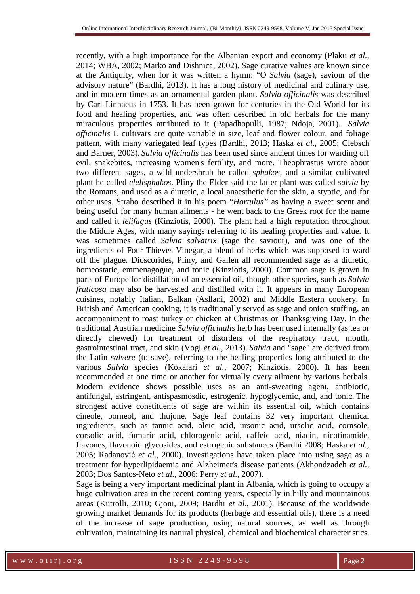recently, with a high importance for the Albanian export and economy (Plaku *et al.,* 2014; WBA, 2002; Marko and Dishnica, 2002). Sage curative values are known since at the Antiquity, when for it was written a hymn: "O *Salvia* (sage), saviour of the advisory nature" (Bardhi, 2013). It has a long history of medicinal and culinary use, and in modern times as an ornamental garden plant. *Salvia officinalis* was described by Carl Linnaeus in 1753. It has been grown for centuries in the Old World for its food and healing properties, and was often described in old herbals for the many miraculous properties attributed to it (Papadhopulli, 1987; Ndoja, 2001). *Salvia officinalis* L cultivars are quite variable in size, leaf and flower colour, and foliage pattern, with many variegated leaf types (Bardhi, 2013; Haska *et al.,* 2005; Clebsch and Barner, 2003). *Salvia officinalis* has been used since ancient times for warding off evil, snakebites, increasing women's fertility, and more. Theophrastus wrote about two different sages, a wild undershrub he called *sphakos*, and a similar cultivated plant he called *elelisphakos*. Pliny the Elder said the latter plant was called *salvia* by the Romans, and used as a diuretic, a local anaesthetic for the skin, a styptic, and for other uses. Strabo described it in his poem "*Hortulus"* as having a sweet scent and being useful for many human ailments - he went back to the Greek root for the name and called it *lelifagus* (Kinziotis, 2000). The plant had a high reputation throughout the Middle Ages, with many sayings referring to its healing properties and value. It was sometimes called *Salvia salvatrix* (sage the saviour), and was one of the ingredients of Four Thieves Vinegar, a blend of herbs which was supposed to ward off the plague. Dioscorides, Pliny, and Gallen all recommended sage as a diuretic, homeostatic, emmenagogue, and tonic (Kinziotis, 2000). Common sage is grown in parts of Europe for distillation of an essential oil, though other species, such as *Salvia fruticosa* may also be harvested and distilled with it. It appears in many European cuisines, notably Italian, Balkan (Asllani, 2002) and Middle Eastern cookery. In British and American cooking, it is traditionally served as sage and onion stuffing, an accompaniment to roast turkey or chicken at Christmas or Thanksgiving Day. In the traditional Austrian medicine *Salvia officinalis* herb has been used internally (as tea or directly chewed) for treatment of disorders of the respiratory tract, mouth, gastrointestinal tract, and skin (Vogl *et al.,* 2013). *Salvia* and "sage" are derived from the Latin *salvere* (to save), referring to the healing properties long attributed to the various *Salvia* species (Kokalari *et al.,* 2007; Kinziotis, 2000). It has been recommended at one time or another for virtually every ailment by various herbals. Modern evidence shows possible uses as an anti-sweating agent, antibiotic, antifungal, astringent, antispasmosdic, estrogenic, hypoglycemic, and, and tonic. The strongest active constituents of sage are within its essential oil, which contains cineole, borneol, and thujone. Sage leaf contains 32 very important chemical ingredients, such as tannic acid, oleic acid, ursonic acid, ursolic acid, cornsole, corsolic acid, fumaric acid, chlorogenic acid, caffeic acid, niacin, nicotinamide, flavones, flavonoid glycosides, and estrogenic substances (Bardhi 2008; Haska *et al.,* 2005; Radanović *et al*., 2000). Investigations have taken place into using sage as a treatment for hyperlipidaemia and Alzheimer's disease patients (Akhondzadeh *et al.,* 2003; Dos Santos-Neto *et al.,* 2006; Perry *et al.,* 2007).

Sage is being a very important medicinal plant in Albania, which is going to occupy a huge cultivation area in the recent coming years, especially in hilly and mountainous areas (Kutrolli, 2010; Gjoni, 2009; Bardhi *et al*., 2001). Because of the worldwide growing market demands for its products (herbage and essential oils), there is a need of the increase of sage production, using natural sources, as well as through cultivation, maintaining its natural physical, chemical and biochemical characteristics.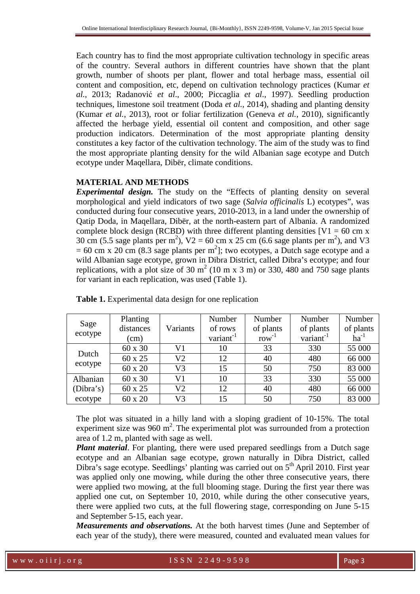Each country has to find the most appropriate cultivation technology in specific areas of the country. Several authors in different countries have shown that the plant growth, number of shoots per plant, flower and total herbage mass, essential oil content and composition, etc, depend on cultivation technology practices (Kumar *et al.*, 2013; Radanović *et al*., 2000; Piccaglia *et al*., 1997). Seedling production techniques, limestone soil treatment (Doda *et al.*, 2014), shading and planting density (Kumar *et al.*, 2013), root or foliar fertilization (Geneva *et al.*, 2010), significantly affected the herbage yield, essential oil content and composition, and other sage production indicators. Determination of the most appropriate planting density constitutes a key factor of the cultivation technology. The aim of the study was to find the most appropriate planting density for the wild Albanian sage ecotype and Dutch ecotype under Maqellara, Dibër, climate conditions.

#### **MATERIAL AND METHODS**

*Experimental design.* The study on the "Effects of planting density on several morphological and yield indicators of two sage (*Salvia officinalis* L) ecotypes", was conducted during four consecutive years, 2010-2013, in a land under the ownership of Qatip Doda, in Maqellara, Dibër, at the north-eastern part of Albania. A randomized complete block design (RCBD) with three different planting densities  $[V1 = 60 \text{ cm x}]$ 30 cm (5.5 sage plants per m<sup>2</sup>),  $V2 = 60$  cm x 25 cm (6.6 sage plants per m<sup>2</sup>), and V3  $= 60$  cm x 20 cm (8.3 sage plants per m<sup>2</sup>]; two ecotypes, a Dutch sage ecotype and a wild Albanian sage ecotype, grown in Dibra District, called Dibra's ecotype; and four replications, with a plot size of 30  $m<sup>2</sup>$  (10 m x 3 m) or 330, 480 and 750 sage plants for variant in each replication, was used (Table 1).

|                 | Planting  |                | Number                | Number     | Number                | Number    |
|-----------------|-----------|----------------|-----------------------|------------|-----------------------|-----------|
| Sage<br>ecotype | distances | Variants       | of rows               | of plants  | of plants             | of plants |
|                 | (cm)      |                | variant <sup>-1</sup> | $row^{-1}$ | variant <sup>-1</sup> | $ha^{-1}$ |
|                 | 60 x 30   | V1             | 10                    | 33         | 330                   | 55 000    |
| Dutch           | 60 x 25   | V <sub>2</sub> | 12                    | 40         | 480                   | 66 000    |
| ecotype         | 60 x 20   | V <sub>3</sub> | 15                    | 50         | 750                   | 83 000    |
| Albanian        | 60 x 30   | V1             | 10                    | 33         | 330                   | 55 000    |
| (Dibra's)       | 60 x 25   | V <sub>2</sub> | 12                    | 40         | 480                   | 66 000    |
| ecotype         | 60 x 20   | V3             | 15                    | 50         | 750                   | 83 000    |

**Table 1.** Experimental data design for one replication

The plot was situated in a hilly land with a sloping gradient of 10-15%. The total experiment size was  $960 \text{ m}^2$ . The experimental plot was surrounded from a protection area of 1.2 m, planted with sage as well.

*Plant material*. For planting, there were used prepared seedlings from a Dutch sage ecotype and an Albanian sage ecotype, grown naturally in Dibra District, called Dibra's sage ecotype. Seedlings' planting was carried out on  $5<sup>th</sup>$  April 2010. First year was applied only one mowing, while during the other three consecutive years, there were applied two mowing, at the full blooming stage. During the first year there was applied one cut, on September 10, 2010, while during the other consecutive years, there were applied two cuts, at the full flowering stage, corresponding on June 5-15 and September 5-15, each year.

*Measurements and observations.* At the both harvest times (June and September of each year of the study), there were measured, counted and evaluated mean values for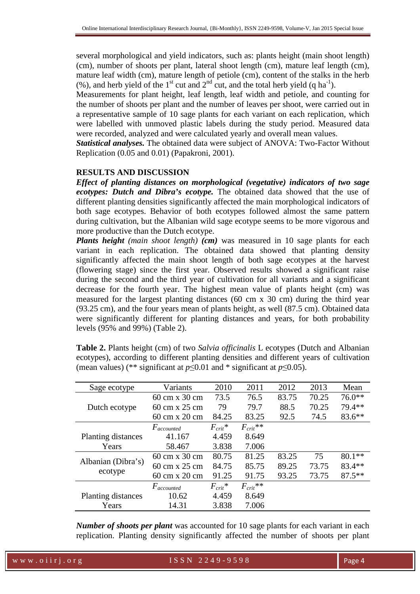several morphological and yield indicators, such as: plants height (main shoot length) (cm), number of shoots per plant, lateral shoot length (cm), mature leaf length (cm), mature leaf width (cm), mature length of petiole (cm), content of the stalks in the herb (%), and herb yield of the 1<sup>st</sup> cut and  $2<sup>nd</sup>$  cut, and the total herb yield (q ha<sup>-1</sup>).

Measurements for plant height, leaf length, leaf width and petiole, and counting for the number of shoots per plant and the number of leaves per shoot, were carried out in a representative sample of 10 sage plants for each variant on each replication, which were labelled with unmoved plastic labels during the study period. Measured data were recorded, analyzed and were calculated yearly and overall mean values.

*Statistical analyses.* The obtained data were subject of ANOVA: Two-Factor Without Replication (0.05 and 0.01) (Papakroni, 2001).

#### **RESULTS AND DISCUSSION**

*Effect of planting distances on morphological (vegetative) indicators of two sage ecotypes: Dutch and Dibra's ecotype.* The obtained data showed that the use of different planting densities significantly affected the main morphological indicators of both sage ecotypes. Behavior of both ecotypes followed almost the same pattern during cultivation, but the Albanian wild sage ecotype seems to be more vigorous and more productive than the Dutch ecotype.

*Plants height (main shoot length)* (*cm*) was measured in 10 sage plants for each variant in each replication. The obtained data showed that planting density significantly affected the main shoot length of both sage ecotypes at the harvest (flowering stage) since the first year. Observed results showed a significant raise during the second and the third year of cultivation for all variants and a significant decrease for the fourth year. The highest mean value of plants height (cm) was measured for the largest planting distances (60 cm x 30 cm) during the third year (93.25 cm), and the four years mean of plants height, as well (87.5 cm). Obtained data were significantly different for planting distances and years, for both probability levels (95% and 99%) (Table 2).

**Table 2.** Plants height (cm) of two *Salvia officinalis* L ecotypes (Dutch and Albanian ecotypes), according to different planting densities and different years of cultivation (mean values) (\*\* significant at  $p \le 0.01$  and \* significant at  $p \le 0.05$ ).

| Sage ecotype       | Variants                             | 2010         | 2011          | 2012  | 2013  | Mean     |
|--------------------|--------------------------------------|--------------|---------------|-------|-------|----------|
|                    | 60 cm x 30 cm                        | 73.5         | 76.5          | 83.75 | 70.25 | $76.0**$ |
| Dutch ecotype      | $60 \text{ cm} \times 25 \text{ cm}$ | 79           | 79.7          | 88.5  | 70.25 | 79.4 **  |
|                    | 60 cm x 20 cm                        | 84.25        | 83.25         | 92.5  | 74.5  | $83.6**$ |
|                    | $F_{accounted}$                      | $F_{crit}$ * | $F_{crit}$ ** |       |       |          |
| Planting distances | 41.167                               | 4.459        | 8.649         |       |       |          |
| Years              | 58.467                               | 3.838        | 7.006         |       |       |          |
| Albanian (Dibra's) | 60 cm x 30 cm                        | 80.75        | 81.25         | 83.25 | 75    | $80.1**$ |
|                    | 60 cm x 25 cm                        | 84.75        | 85.75         | 89.25 | 73.75 | $83.4**$ |
| ecotype            | 60 cm x 20 cm                        | 91.25        | 91.75         | 93.25 | 73.75 | $87.5**$ |
|                    | $F_{accounted}$                      | $F_{crit}$ * | $F_{crit}$ ** |       |       |          |
| Planting distances | 10.62                                | 4.459        | 8.649         |       |       |          |
| Years              | 14.31                                | 3.838        | 7.006         |       |       |          |

*Number of shoots per plant* was accounted for 10 sage plants for each variant in each replication. Planting density significantly affected the number of shoots per plant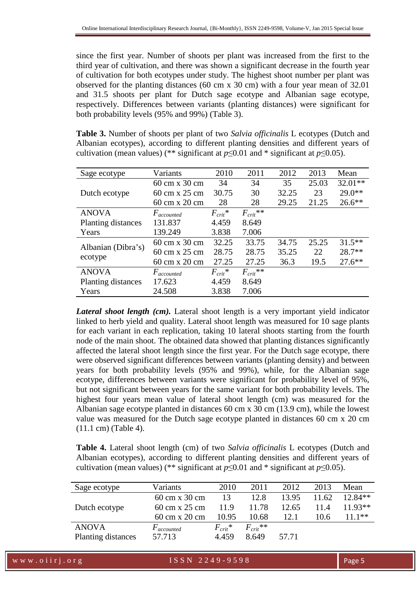since the first year. Number of shoots per plant was increased from the first to the third year of cultivation, and there was shown a significant decrease in the fourth year of cultivation for both ecotypes under study. The highest shoot number per plant was observed for the planting distances (60 cm x 30 cm) with a four year mean of 32.01 and 31.5 shoots per plant for Dutch sage ecotype and Albanian sage ecotype, respectively. Differences between variants (planting distances) were significant for both probability levels (95% and 99%) (Table 3).

**Table 3.** Number of shoots per plant of two *Salvia officinalis* L ecotypes (Dutch and Albanian ecotypes), according to different planting densities and different years of cultivation (mean values) (\*\* significant at  $p \le 0.01$  and \* significant at  $p \le 0.05$ ).

| Sage ecotype              | Variants        | 2010         | 2011          | 2012  | 2013  | Mean      |
|---------------------------|-----------------|--------------|---------------|-------|-------|-----------|
|                           | 60 cm x 30 cm   | 34           | 34            | 35    | 25.03 | $32.01**$ |
| Dutch ecotype             | 60 cm x 25 cm   | 30.75        | 30            | 32.25 | 23    | $29.0**$  |
|                           | 60 cm x 20 cm   | 28           | 28            | 29.25 | 21.25 | $26.6**$  |
| <b>ANOVA</b>              | $F_{accounted}$ | $F_{crit}$ * | $F_{crit}$ ** |       |       |           |
| Planting distances        | 131.837         | 4.459        | 8.649         |       |       |           |
| Years                     | 139.249         | 3.838        | 7.006         |       |       |           |
|                           | 60 cm x 30 cm   | 32.25        | 33.75         | 34.75 | 25.25 | $31.5***$ |
| Albanian (Dibra's)        | 60 cm x 25 cm   | 28.75        | 28.75         | 35.25 | 22    | 28.7**    |
| ecotype                   | 60 cm x 20 cm   | 27.25        | 27.25         | 36.3  | 19.5  | $27.6***$ |
| <b>ANOVA</b>              | $F_{accounted}$ | $F_{crit}$ * | $F_{crit}$ ** |       |       |           |
| <b>Planting distances</b> | 17.623          | 4.459        | 8.649         |       |       |           |
| Years                     | 24.508          | 3.838        | 7.006         |       |       |           |

*Lateral shoot length (cm).* Lateral shoot length is a very important yield indicator linked to herb yield and quality. Lateral shoot length was measured for 10 sage plants for each variant in each replication, taking 10 lateral shoots starting from the fourth node of the main shoot. The obtained data showed that planting distances significantly affected the lateral shoot length since the first year. For the Dutch sage ecotype, there were observed significant differences between variants (planting density) and between years for both probability levels (95% and 99%), while, for the Albanian sage ecotype, differences between variants were significant for probability level of 95%, but not significant between years for the same variant for both probability levels. The highest four years mean value of lateral shoot length (cm) was measured for the Albanian sage ecotype planted in distances 60 cm x 30 cm (13.9 cm), while the lowest value was measured for the Dutch sage ecotype planted in distances 60 cm x 20 cm (11.1 cm) (Table 4).

**Table 4.** Lateral shoot length (cm) of two *Salvia officinalis* L ecotypes (Dutch and Albanian ecotypes), according to different planting densities and different years of cultivation (mean values) (\*\* significant at *p*≤0.01 and \* significant at *p*≤0.05).

| Sage ecotype       | Variants        | 2010         | 2011          | 2012  | 2013  | Mean      |
|--------------------|-----------------|--------------|---------------|-------|-------|-----------|
|                    | 60 cm x 30 cm   | 13           | 12.8          | 13.95 | 11.62 | $12.84**$ |
| Dutch ecotype      | 60 cm x 25 cm   | 11.9         | 11.78         | 12.65 | 11.4  | $11.93**$ |
|                    | 60 cm x 20 cm   | 10.95        | 10.68         | 12.1  | 10.6  | 11 1**    |
| <b>ANOVA</b>       | $F_{accounted}$ | $F_{crit}$ * | $F_{crit}$ ** |       |       |           |
| Planting distances | 57.713          | 4.459        | 8.649         | 57.71 |       |           |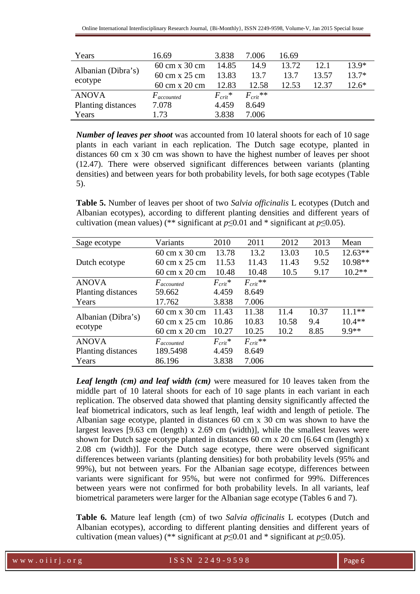| Years              | 16.69           | 3.838        | 7.006         | 16.69 |       |         |
|--------------------|-----------------|--------------|---------------|-------|-------|---------|
|                    | 60 cm x 30 cm   | 14.85        | 14.9          | 13.72 | 12.1  | $13.9*$ |
| Albanian (Dibra's) | 60 cm x 25 cm   | 13.83        | 13.7          | 13.7  | 13.57 | $13.7*$ |
| ecotype            | 60 cm x 20 cm   | 12.83        | 12.58         | 12.53 | 12.37 | $12.6*$ |
| <b>ANOVA</b>       | $F_{accounted}$ | $F_{crit}$ * | $F_{crit}$ ** |       |       |         |
| Planting distances | 7.078           | 4.459        | 8.649         |       |       |         |
| Years              | 1.73            | 3.838        | 7.006         |       |       |         |

*Number of leaves per shoot* was accounted from 10 lateral shoots for each of 10 sage plants in each variant in each replication. The Dutch sage ecotype, planted in distances 60 cm x 30 cm was shown to have the highest number of leaves per shoot (12.47). There were observed significant differences between variants (planting densities) and between years for both probability levels, for both sage ecotypes (Table 5).

**Table 5.** Number of leaves per shoot of two *Salvia officinalis* L ecotypes (Dutch and Albanian ecotypes), according to different planting densities and different years of cultivation (mean values) (\*\* significant at  $p \le 0.01$  and \* significant at  $p \le 0.05$ ).

| Sage ecotype       | Variants                             | 2010         | 2011          | 2012  | 2013  | Mean      |
|--------------------|--------------------------------------|--------------|---------------|-------|-------|-----------|
|                    | 60 cm x 30 cm                        | 13.78        | 13.2          | 13.03 | 10.5  | $12.63**$ |
| Dutch ecotype      | $60 \text{ cm} \times 25 \text{ cm}$ | 11.53        | 11.43         | 11.43 | 9.52  | $10.98**$ |
|                    | 60 cm x 20 cm                        | 10.48        | 10.48         | 10.5  | 9.17  | $10.2**$  |
| <b>ANOVA</b>       | $F_{accounted}$                      | $F_{crit}$ * | $F_{crit}$ ** |       |       |           |
| Planting distances | 59.662                               | 4.459        | 8.649         |       |       |           |
| Years              | 17.762                               | 3.838        | 7.006         |       |       |           |
|                    | 60 cm x 30 cm                        | 11.43        | 11.38         | 11.4  | 10.37 | $11.1***$ |
| Albanian (Dibra's) | $60 \text{ cm} \times 25 \text{ cm}$ | 10.86        | 10.83         | 10.58 | 9.4   | $10.4**$  |
| ecotype            | 60 cm x 20 cm                        | 10.27        | 10.25         | 10.2  | 8.85  | 9.9**     |
| <b>ANOVA</b>       | $F_{accounted}$                      | $F_{crit}$ * | $F_{crit}$ ** |       |       |           |
| Planting distances | 189.5498                             | 4.459        | 8.649         |       |       |           |
| Years              | 86.196                               | 3.838        | 7.006         |       |       |           |

*Leaf length (cm) and leaf width (cm)* were measured for 10 leaves taken from the middle part of 10 lateral shoots for each of 10 sage plants in each variant in each replication. The observed data showed that planting density significantly affected the leaf biometrical indicators, such as leaf length, leaf width and length of petiole. The Albanian sage ecotype, planted in distances 60 cm x 30 cm was shown to have the largest leaves [9.63 cm (length) x 2.69 cm (width)], while the smallest leaves were shown for Dutch sage ecotype planted in distances 60 cm x 20 cm [6.64 cm (length) x 2.08 cm (width)]. For the Dutch sage ecotype, there were observed significant differences between variants (planting densities) for both probability levels (95% and 99%), but not between years. For the Albanian sage ecotype, differences between variants were significant for 95%, but were not confirmed for 99%. Differences between years were not confirmed for both probability levels. In all variants, leaf biometrical parameters were larger for the Albanian sage ecotype (Tables 6 and 7).

**Table 6.** Mature leaf length (cm) of two *Salvia officinalis* L ecotypes (Dutch and Albanian ecotypes), according to different planting densities and different years of cultivation (mean values) (\*\* significant at  $p \le 0.01$  and \* significant at  $p \le 0.05$ ).

w w w . o i i r j . o r g  $1$  S S N 2 2 4 9 - 9 5 9 8 Page 6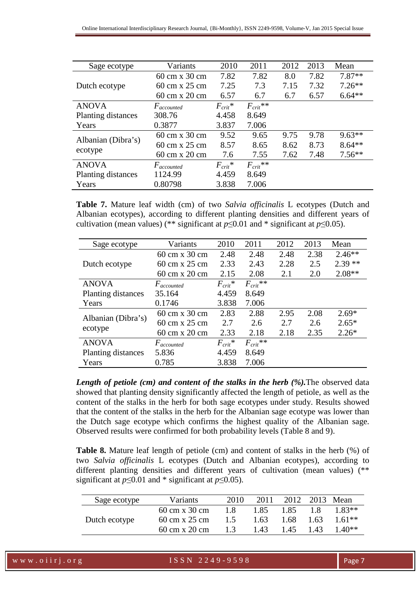| Sage ecotype       | Variants        | 2010         | 2011          | 2012 | 2013 | Mean     |
|--------------------|-----------------|--------------|---------------|------|------|----------|
|                    | 60 cm x 30 cm   | 7.82         | 7.82          | 8.0  | 7.82 | $7.87**$ |
| Dutch ecotype.     | 60 cm x $25$ cm | 7.25         | 7.3           | 7.15 | 7.32 | $7.26**$ |
|                    | 60 cm x 20 cm   | 6.57         | 6.7           | 6.7  | 6.57 | $6.64**$ |
| <b>ANOVA</b>       | $F_{accounted}$ | $F_{crit}$ * | $F_{crit}$ ** |      |      |          |
| Planting distances | 308.76          | 4.458        | 8.649         |      |      |          |
| Years              | 0.3877          | 3.837        | 7.006         |      |      |          |
| Albanian (Dibra's) | 60 cm x 30 cm   | 9.52         | 9.65          | 9.75 | 9.78 | $9.63**$ |
|                    | 60 cm x $25$ cm | 8.57         | 8.65          | 8.62 | 8.73 | $8.64**$ |
| ecotype            | 60 cm x 20 cm   | 7.6          | 7.55          | 7.62 | 7.48 | $7.56**$ |
| <b>ANOVA</b>       | $F_{accounted}$ | $F_{crit}$ * | $F_{crit}$ ** |      |      |          |
| Planting distances | 1124.99         | 4.459        | 8.649         |      |      |          |
| Years              | 0.80798         | 3.838        | 7.006         |      |      |          |

**Table 7.** Mature leaf width (cm) of two *Salvia officinalis* L ecotypes (Dutch and Albanian ecotypes), according to different planting densities and different years of cultivation (mean values) (\*\* significant at  $p \le 0.01$  and \* significant at  $p \le 0.05$ ).

| Sage ecotype       | Variants        | 2010         | 2011          | 2012 | 2013 | Mean     |
|--------------------|-----------------|--------------|---------------|------|------|----------|
|                    | 60 cm x 30 cm   | 2.48         | 2.48          | 2.48 | 2.38 | $2.46**$ |
| Dutch ecotype      | 60 cm x 25 cm   | 2.33         | 2.43          | 2.28 | 2.5  | $2.39**$ |
|                    | 60 cm x 20 cm   | 2.15         | 2.08          | 2.1  | 2.0  | $2.08**$ |
| <b>ANOVA</b>       | $F_{accounted}$ | $F_{crit}$ * | $F_{crit}$ ** |      |      |          |
| Planting distances | 35.164          | 4.459        | 8.649         |      |      |          |
| Years              | 0.1746          | 3.838        | 7.006         |      |      |          |
| Albanian (Dibra's) | 60 cm x 30 cm   | 2.83         | 2.88          | 2.95 | 2.08 | $2.69*$  |
|                    | 60 cm x 25 cm   | 2.7          | 2.6           | 2.7  | 2.6  | $2.65*$  |
| ecotype            | 60 cm x 20 cm   | 2.33         | 2.18          | 2.18 | 2.35 | $2.26*$  |
| <b>ANOVA</b>       | $F_{accounted}$ | $F_{crit}$ * | $F_{crit}$ ** |      |      |          |
| Planting distances | 5.836           | 4.459        | 8.649         |      |      |          |
| Years              | 0.785           | 3.838        | 7.006         |      |      |          |

*Length of petiole (cm) and content of the stalks in the herb (%).*The observed data showed that planting density significantly affected the length of petiole, as well as the content of the stalks in the herb for both sage ecotypes under study. Results showed that the content of the stalks in the herb for the Albanian sage ecotype was lower than the Dutch sage ecotype which confirms the highest quality of the Albanian sage. Observed results were confirmed for both probability levels (Table 8 and 9).

**Table 8.** Mature leaf length of petiole (cm) and content of stalks in the herb (%) of two *Salvia officinalis* L ecotypes (Dutch and Albanian ecotypes), according to different planting densities and different years of cultivation (mean values) (\*\* significant at  $p \le 0.01$  and \* significant at  $p \le 0.05$ ).

| Sage ecotype  | Variants                             | 2010 | 2011 |      |      | 2012 2013 Mean |
|---------------|--------------------------------------|------|------|------|------|----------------|
|               | 60 cm x 30 cm                        | 1.8  | 1.85 | 1.85 | 18   | $183**$        |
| Dutch ecotype | 60 cm x 25 cm                        | 1.5  | 1.63 | 1.68 | 1.63 | $1.61**$       |
|               | $60 \text{ cm} \times 20 \text{ cm}$ | 1.3  | 1.43 | 1.45 | 1.43 | $1.40**$       |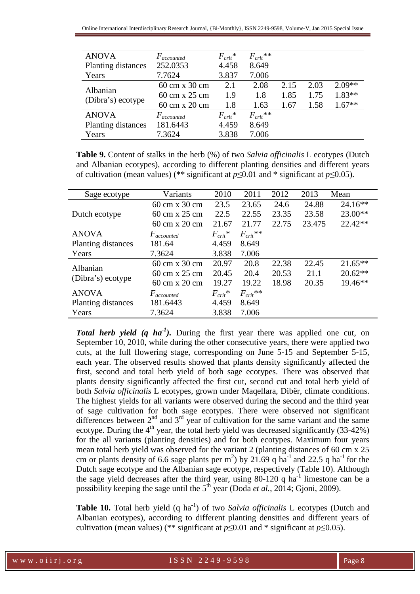| <b>ANOVA</b>       | $F_{accounted}$ | $F_{crit}$ * | $F_{crit}$ ** |      |      |          |
|--------------------|-----------------|--------------|---------------|------|------|----------|
| Planting distances | 252.0353        | 4.458        | 8.649         |      |      |          |
| Years              | 7.7624          | 3.837        | 7.006         |      |      |          |
| Albanian           | 60 cm x 30 cm   | 2.1          | 2.08          | 2.15 | 2.03 | $2.09**$ |
| (Dibra's) ecotype  | 60 cm x 25 cm   | 1.9          | 1.8           | 1.85 | 1.75 | 1.83**   |
|                    | 60 cm x 20 cm   | 1.8          | 1.63          | 1.67 | 1.58 | $1.67**$ |
| <b>ANOVA</b>       | $F_{accounted}$ | $F_{crit}$ * | $F_{crit}$ ** |      |      |          |
| Planting distances | 181.6443        | 4.459        | 8.649         |      |      |          |
| Years              | 7.3624          | 3.838        | 7.006         |      |      |          |

**Table 9.** Content of stalks in the herb (%) of two *Salvia officinalis* L ecotypes (Dutch and Albanian ecotypes), according to different planting densities and different years of cultivation (mean values) (\*\* significant at  $p \le 0.01$  and \* significant at  $p \le 0.05$ ).

| Sage ecotype       | Variants        | 2010         | 2011          | 2012  | 2013   | Mean      |
|--------------------|-----------------|--------------|---------------|-------|--------|-----------|
|                    | 60 cm x 30 cm   | 23.5         | 23.65         | 24.6  | 24.88  | $24.16**$ |
| Dutch ecotype      | 60 cm x 25 cm   | 22.5         | 22.55         | 23.35 | 23.58  | $23.00**$ |
|                    | 60 cm x 20 cm   | 21.67        | 21.77         | 22.75 | 23.475 | $22.42**$ |
| <b>ANOVA</b>       | $F_{accounted}$ | $F_{crit}$ * | $F_{crit}$ ** |       |        |           |
| Planting distances | 181.64          | 4.459        | 8.649         |       |        |           |
| Years              | 7.3624          | 3.838        | 7.006         |       |        |           |
| Albanian           | 60 cm x 30 cm   | 20.97        | 20.8          | 22.38 | 22.45  | $21.65**$ |
|                    | 60 cm x 25 cm   | 20.45        | 20.4          | 20.53 | 21.1   | $20.62**$ |
| (Dibra's) ecotype  | 60 cm x 20 cm   | 19.27        | 19.22         | 18.98 | 20.35  | 19.46**   |
| <b>ANOVA</b>       | $F_{accounted}$ | $F_{crit}$ * | $F_{crit}$ ** |       |        |           |
| Planting distances | 181.6443        | 4.459        | 8.649         |       |        |           |
| Years              | 7.3624          | 3.838        | 7.006         |       |        |           |

*Total herb yield (q ha<sup>-1</sup>).* During the first year there was applied one cut, on September 10, 2010, while during the other consecutive years, there were applied two cuts, at the full flowering stage, corresponding on June 5-15 and September 5-15, each year. The observed results showed that plants density significantly affected the first, second and total herb yield of both sage ecotypes. There was observed that plants density significantly affected the first cut, second cut and total herb yield of both *Salvia officinalis* L ecotypes, grown under Maqellara, Dibër, climate conditions. The highest yields for all variants were observed during the second and the third year of sage cultivation for both sage ecotypes. There were observed not significant differences between  $2<sup>nd</sup>$  and  $3<sup>rd</sup>$  year of cultivation for the same variant and the same ecotype. During the  $4<sup>th</sup>$  year, the total herb yield was decreased significantly (33-42%) for the all variants (planting densities) and for both ecotypes. Maximum four years mean total herb yield was observed for the variant 2 (planting distances of 60 cm x 25 cm or plants density of 6.6 sage plants per  $m^2$ ) by 21.69 q ha<sup>-1</sup> and 22.5 q ha<sup>-1</sup> for the Dutch sage ecotype and the Albanian sage ecotype, respectively (Table 10). Although the sage yield decreases after the third year, using 80-120 q ha<sup>-1</sup> limestone can be a possibility keeping the sage until the 5<sup>th</sup> year (Doda *et al.*, 2014; Gjoni, 2009).

**Table 10.** Total herb yield (q ha<sup>-1</sup>) of two *Salvia officinalis* L ecotypes (Dutch and Albanian ecotypes), according to different planting densities and different years of cultivation (mean values) (\*\* significant at  $p \le 0.01$  and \* significant at  $p \le 0.05$ ).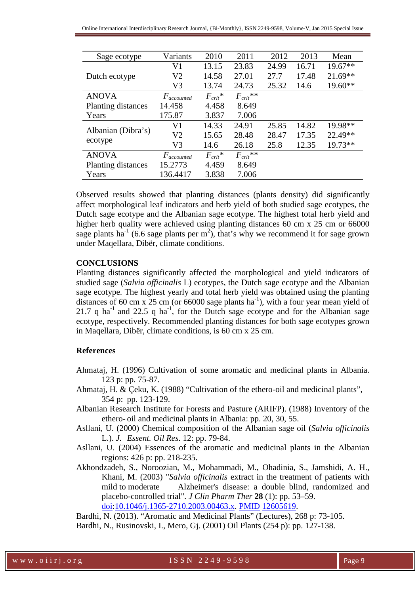| Sage ecotype       | Variants        | 2010         | 2011          | 2012  | 2013  | Mean      |
|--------------------|-----------------|--------------|---------------|-------|-------|-----------|
|                    | V <sub>1</sub>  | 13.15        | 23.83         | 24.99 | 16.71 | 19.67**   |
| Dutch ecotype      | V2              | 14.58        | 27.01         | 27.7  | 17.48 | $21.69**$ |
|                    | V3              | 13.74        | 24.73         | 25.32 | 14.6  | $19.60**$ |
| <b>ANOVA</b>       | $F_{accounted}$ | $F_{crit}$ * | $F_{crit}$ ** |       |       |           |
| Planting distances | 14.458          | 4.458        | 8.649         |       |       |           |
| Years              | 175.87          | 3.837        | 7.006         |       |       |           |
|                    | V1              | 14.33        | 24.91         | 25.85 | 14.82 | 19.98**   |
| Albanian (Dibra's) | V2              | 15.65        | 28.48         | 28.47 | 17.35 | 22.49**   |
| ecotype            | V3              | 14.6         | 26.18         | 25.8  | 12.35 | 19.73**   |
| <b>ANOVA</b>       | $F_{accounted}$ | $F_{crit}$ * | $F_{crit}$ ** |       |       |           |
| Planting distances | 15.2773         | 4.459        | 8.649         |       |       |           |
| Years              | 136.4417        | 3.838        | 7.006         |       |       |           |

Observed results showed that planting distances (plants density) did significantly affect morphological leaf indicators and herb yield of both studied sage ecotypes, the Dutch sage ecotype and the Albanian sage ecotype. The highest total herb yield and higher herb quality were achieved using planting distances 60 cm x 25 cm or 66000 sage plants ha<sup>-1</sup> (6.6 sage plants per m<sup>2</sup>), that's why we recommend it for sage grown under Maqellara, Dibër, climate conditions.

#### **CONCLUSIONS**

Planting distances significantly affected the morphological and yield indicators of studied sage (*Salvia officinalis* L) ecotypes, the Dutch sage ecotype and the Albanian sage ecotype. The highest yearly and total herb yield was obtained using the planting distances of 60 cm x 25 cm (or 66000 sage plants ha<sup>-1</sup>), with a four year mean yield of 21.7 q ha<sup>-1</sup> and 22.5 q ha<sup>-1</sup>, for the Dutch sage ecotype and for the Albanian sage ecotype, respectively. Recommended planting distances for both sage ecotypes grown in Maqellara, Dibër, climate conditions, is 60 cm x 25 cm.

### **References**

- Ahmataj, H. (1996) Cultivation of some aromatic and medicinal plants in Albania. 123 p: pp. 75-87.
- Ahmataj, H. & Çeku, K. (1988) "Cultivation of the ethero-oil and medicinal plants", 354 p: pp. 123-129.
- Albanian Research Institute for Forests and Pasture (ARIFP). (1988) Inventory of the ethero- oil and medicinal plants in Albania: pp. 20, 30, 55.
- Asllani, U. (2000) Chemical composition of the Albanian sage oil (*Salvia officinalis* L.). *J. Essent. Oil Res*. 12: pp. 79-84.
- Asllani, U. (2004) Essences of the aromatic and medicinal plants in the Albanian regions: 426 p: pp. 218-235.
- Akhondzadeh, S., Noroozian, M., Mohammadi, M., Ohadinia, S., Jamshidi, A. H., Khani, M. (2003) "*Salvia officinalis* extract in the treatment of patients with mild to moderate Alzheimer's disease: a double blind, randomized and placebo-controlled trial". *J Clin Pharm Ther* **28** (1): pp. 53–59. doi:10.1046/j.1365-2710.2003.00463.x. PMID 12605619.

Bardhi, N. (2013). "Aromatic and Medicinal Plants" (Lectures), 268 p: 73-105.

Bardhi, N., Rusinovski, I., Mero, Gj. (2001) Oil Plants (254 p): pp. 127-138.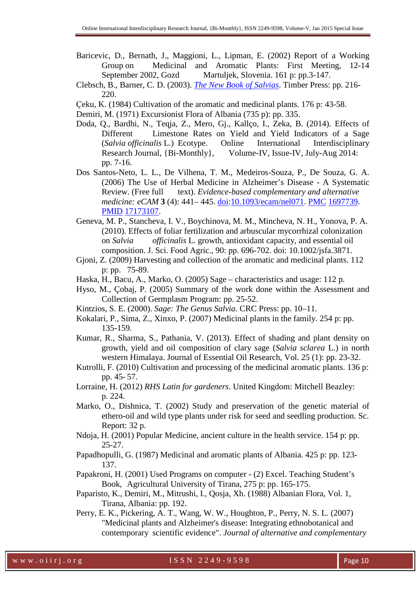- Baricevic, D., Bernath, J., Maggioni, L., Lipman, E. (2002) Report of a Working Group on Medicinal and Aromatic Plants: First Meeting, 12-14<br>September 2002, Gozd Martuljek, Slovenia. 161 p: pp.3-147. Martuljek, Slovenia. 161 p: pp.3-147.
- Clebsch, B., Barner, C. D. (2003). *The New Book of Salvias*. Timber Press: pp. 216- 220.
- Ҫeku, K. (1984) Cultivation of the aromatic and medicinal plants. 176 p: 43-58.
- Demiri, M. (1971) Excursionist Flora of Albania (735 p): pp. 335.
- Doda, Q., Bardhi, N., Teqja, Z., Mero, Gj., Kallço, I., Zeka, B. (2014). Effects of Different Limestone Rates on Yield and Yield Indicators of a Sage (*Salvia officinalis* L.) Ecotype. Online International Interdisciplinary Research Journal, {Bi-Monthly}, Volume-IV, Issue-IV, July-Aug 2014: pp. 7-16.
- Dos Santos-Neto, L. L., De Vilhena, T. M., Medeiros-Souza, P., De Souza, G. A. (2006) The Use of Herbal Medicine in Alzheimer's Disease - A Systematic Review. (Free full text). *Evidence-based complementary and alternative medicine: eCAM* **3** (4): 441– 445. doi:10.1093/ecam/nel071. PMC 1697739. PMID 17173107.
- Geneva, M. P., Stancheva, I. V., Boychinova, M. M., Mincheva, N. H., Yonova, P. A. (2010). Effects of foliar fertilization and arbuscular mycorrhizal colonization on *Salvia officinalis* L. growth, antioxidant capacity, and essential oil composition. J. Sci. Food Agric., 90: pp. 696-702. doi: 10.1002/jsfa.3871.
- Gjoni, Z. (2009) Harvesting and collection of the aromatic and medicinal plants. 112 p: pp. 75-89.
- Haska, H., Bacu, A., Marko, O. (2005) Sage characteristics and usage: 112 p.
- Hyso, M., Çobaj, P. (2005) Summary of the work done within the Assessment and Collection of Germplasm Program: pp. 25-52.
- Kintzios, S. E. (2000). *Sage: The Genus Salvia*. CRC Press: pp. 10–11.
- Kokalari, P., Sima, Z., Xinxo, P. (2007) Medicinal plants in the family. 254 p: pp. 135-159.
- Kumar, R., Sharma, S., Pathania, V. (2013). Effect of shading and plant density on growth, yield and oil composition of clary sage (*Salvia sclarea* L.) in north western Himalaya. Journal of Essential Oil Research, Vol. 25 (1): pp. 23-32.
- Kutrolli, F. (2010) Cultivation and processing of the medicinal aromatic plants. 136 p: pp. 45- 57.
- Lorraine, H. (2012) *RHS Latin for gardeners*. United Kingdom: Mitchell Beazley: p. 224.
- Marko, O., Dishnica, T. (2002) Study and preservation of the genetic material of ethero-oil and wild type plants under risk for seed and seedling production. Sc. Report: 32 p.
- Ndoja, H. (2001) Popular Medicine, ancient culture in the health service. 154 p: pp. 25-27.
- Papadhopulli, G. (1987) Medicinal and aromatic plants of Albania. 425 p: pp. 123- 137.
- Papakroni, H. (2001) Used Programs on computer (2) Excel. Teaching Student's Book, Agricultural University of Tirana, 275 p: pp. 165-175.
- Paparisto, K., Demiri, M., Mitrushi, I., Qosja, Xh. (1988) Albanian Flora, Vol. 1, Tirana, Albania: pp. 192.
- Perry, E. K., Pickering, A. T., Wang, W. W., Houghton, P., Perry, N. S. L. (2007) "Medicinal plants and Alzheimer's disease: Integrating ethnobotanical and contemporary scientific evidence". *Journal of alternative and complementary*